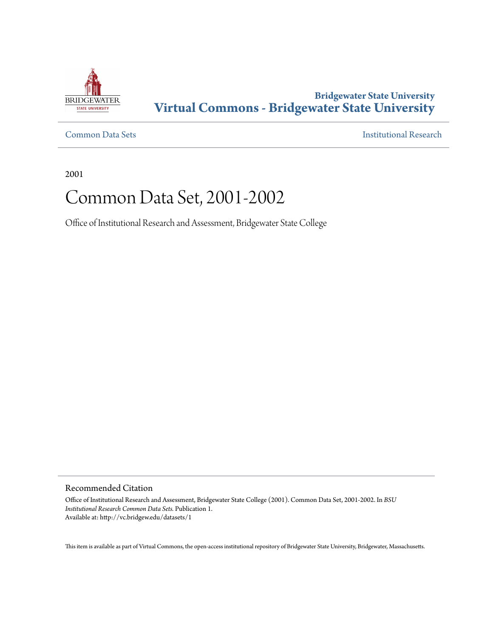

## **Bridgewater State University [Virtual Commons - Bridgewater State University](http://vc.bridgew.edu)**

[Common Data Sets](http://vc.bridgew.edu/datasets) [Institutional Research](http://vc.bridgew.edu/inst_research)

2001

# Common Data Set, 2001-2002

Office of Institutional Research and Assessment, Bridgewater State College

Recommended Citation

Office of Institutional Research and Assessment, Bridgewater State College (2001). Common Data Set, 2001-2002. In *BSU Institutional Research Common Data Sets.* Publication 1. Available at: http://vc.bridgew.edu/datasets/1

This item is available as part of Virtual Commons, the open-access institutional repository of Bridgewater State University, Bridgewater, Massachusetts.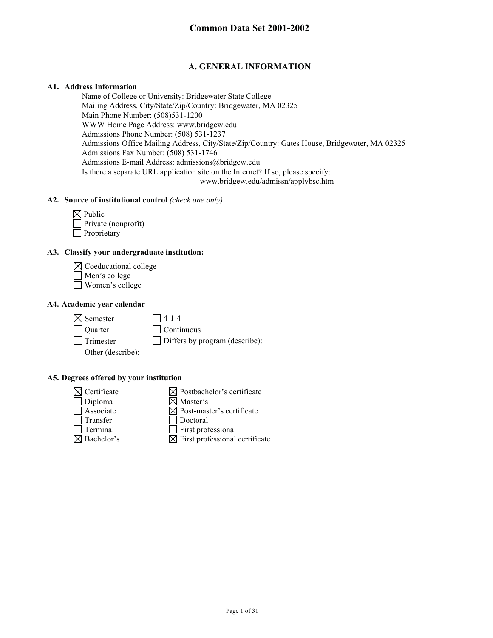## **A. GENERAL INFORMATION**

#### **A1. Address Information**

Name of College or University: Bridgewater State College Mailing Address, City/State/Zip/Country: Bridgewater, MA 02325 Main Phone Number: (508)531-1200 WWW Home Page Address: www.bridgew.edu Admissions Phone Number: (508) 531-1237 Admissions Office Mailing Address, City/State/Zip/Country: Gates House, Bridgewater, MA 02325 Admissions Fax Number: (508) 531-1746 Admissions E-mail Address: admissions@bridgew.edu Is there a separate URL application site on the Internet? If so, please specify: www.bridgew.edu/admissn/applybsc.htm

#### **A2. Source of institutional control** *(check one only)*

| $\boxtimes$ Public  |
|---------------------|
| Private (nonprofit) |
| Proprietary         |

## **A3. Classify your undergraduate institution:**

 $\boxtimes$  Coeducational college

- Men's college
- Women's college

#### **A4. Academic year calendar**

 $\boxtimes$  Semester 14-1-4 Quarter Continuous Trimester Differs by program (describe): □ Other (describe):

#### **A5. Degrees offered by your institution**

 $\boxtimes$  Certificate  $\boxtimes$  Postbachelor's certificate  $\Box$  Diploma  $\boxtimes$  Master's  $\Box$  Associate  $\Box$  Post-master's certificate Transfer Doctoral<br>Terminal Terminal  $\Box$  First professional  $\boxtimes$  Bachelor's  $\boxtimes$  First professional certificate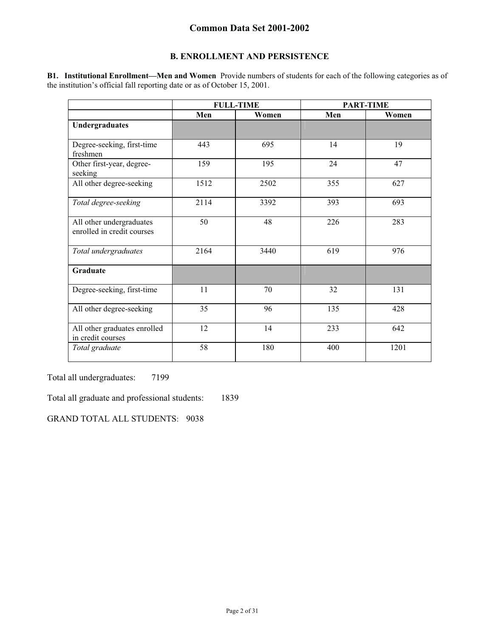## **B. ENROLLMENT AND PERSISTENCE**

**B1. Institutional Enrollment—Men and Women** Provide numbers of students for each of the following categories as of the institution's official fall reporting date or as of October 15, 2001.

|                                                        | <b>FULL-TIME</b> |       |     | <b>PART-TIME</b> |
|--------------------------------------------------------|------------------|-------|-----|------------------|
|                                                        | Men              | Women | Men | Women            |
| Undergraduates                                         |                  |       |     |                  |
| Degree-seeking, first-time<br>freshmen                 | 443              | 695   | 14  | 19               |
| Other first-year, degree-<br>seeking                   | 159              | 195   | 24  | 47               |
| All other degree-seeking                               | 1512             | 2502  | 355 | 627              |
| Total degree-seeking                                   | 2114             | 3392  | 393 | 693              |
| All other undergraduates<br>enrolled in credit courses | 50               | 48    | 226 | 283              |
| Total undergraduates                                   | 2164             | 3440  | 619 | 976              |
| Graduate                                               |                  |       |     |                  |
| Degree-seeking, first-time                             | 11               | 70    | 32  | 131              |
| All other degree-seeking                               | 35               | 96    | 135 | 428              |
| All other graduates enrolled<br>in credit courses      | 12               | 14    | 233 | 642              |
| Total graduate                                         | 58               | 180   | 400 | 1201             |

Total all undergraduates: 7199

Total all graduate and professional students: 1839

GRAND TOTAL ALL STUDENTS: 9038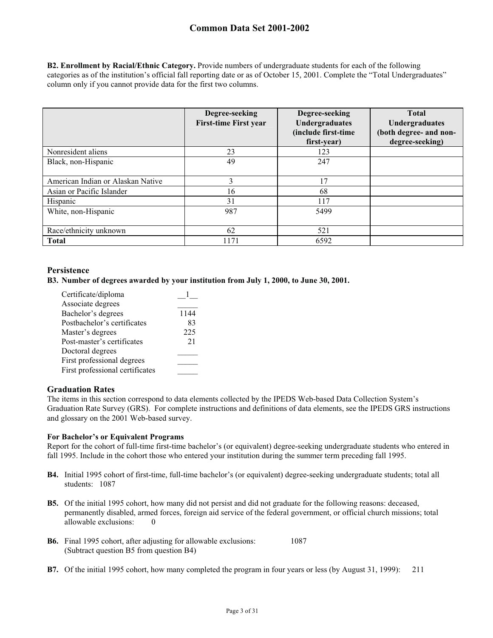**B2. Enrollment by Racial/Ethnic Category.** Provide numbers of undergraduate students for each of the following categories as of the institution's official fall reporting date or as of October 15, 2001. Complete the "Total Undergraduates" column only if you cannot provide data for the first two columns.

|                                   | Degree-seeking<br><b>First-time First year</b> | Degree-seeking<br>Undergraduates<br>(include first-time<br>first-year) | <b>Total</b><br>Undergraduates<br>(both degree- and non-<br>degree-seeking) |
|-----------------------------------|------------------------------------------------|------------------------------------------------------------------------|-----------------------------------------------------------------------------|
| Nonresident aliens                | 23                                             | 123                                                                    |                                                                             |
| Black, non-Hispanic               | 49                                             | 247                                                                    |                                                                             |
| American Indian or Alaskan Native | 3                                              | 17                                                                     |                                                                             |
| Asian or Pacific Islander         | 16                                             | 68                                                                     |                                                                             |
| Hispanic                          | 31                                             | 117                                                                    |                                                                             |
| White, non-Hispanic               | 987                                            | 5499                                                                   |                                                                             |
| Race/ethnicity unknown            | 62                                             | 521                                                                    |                                                                             |
| <b>Total</b>                      | 1171                                           | 6592                                                                   |                                                                             |

#### **Persistence**

**B3. Number of degrees awarded by your institution from July 1, 2000, to June 30, 2001.** 

| Certificate/diploma             |      |
|---------------------------------|------|
| Associate degrees               |      |
| Bachelor's degrees              | 1144 |
| Postbachelor's certificates     | 83   |
| Master's degrees                | 225  |
| Post-master's certificates      | 21   |
| Doctoral degrees                |      |
| First professional degrees      |      |
| First professional certificates |      |
|                                 |      |

#### **Graduation Rates**

The items in this section correspond to data elements collected by the IPEDS Web-based Data Collection System's Graduation Rate Survey (GRS). For complete instructions and definitions of data elements, see the IPEDS GRS instructions and glossary on the 2001 Web-based survey.

#### **For Bachelor's or Equivalent Programs**

Report for the cohort of full-time first-time bachelor's (or equivalent) degree-seeking undergraduate students who entered in fall 1995. Include in the cohort those who entered your institution during the summer term preceding fall 1995.

- **B4.** Initial 1995 cohort of first-time, full-time bachelor's (or equivalent) degree-seeking undergraduate students; total all students: 1087
- **B5.** Of the initial 1995 cohort, how many did not persist and did not graduate for the following reasons: deceased, permanently disabled, armed forces, foreign aid service of the federal government, or official church missions; total allowable exclusions: 0
- **B6.** Final 1995 cohort, after adjusting for allowable exclusions: 1087 (Subtract question B5 from question B4)
- **B7.** Of the initial 1995 cohort, how many completed the program in four years or less (by August 31, 1999): 211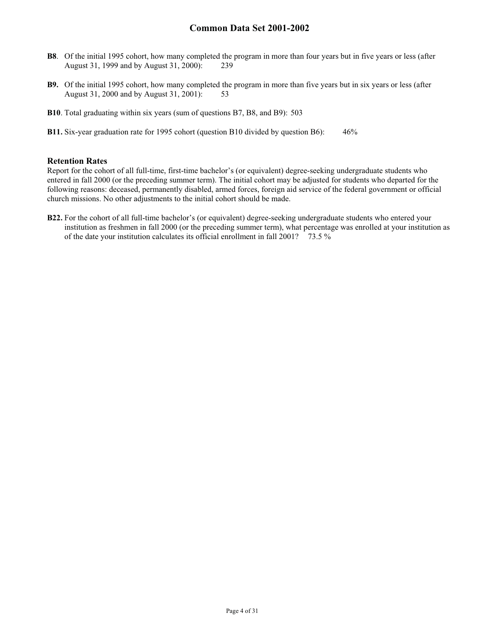- **B8**. Of the initial 1995 cohort, how many completed the program in more than four years but in five years or less (after August 31, 1999 and by August 31, 2000): 239
- **B9.** Of the initial 1995 cohort, how many completed the program in more than five years but in six years or less (after August 31, 2000 and by August 31, 2001): 53
- **B10**. Total graduating within six years (sum of questions B7, B8, and B9): 503
- **B11.** Six-year graduation rate for 1995 cohort (question B10 divided by question B6): 46%

#### **Retention Rates**

Report for the cohort of all full-time, first-time bachelor's (or equivalent) degree-seeking undergraduate students who entered in fall 2000 (or the preceding summer term). The initial cohort may be adjusted for students who departed for the following reasons: deceased, permanently disabled, armed forces, foreign aid service of the federal government or official church missions. No other adjustments to the initial cohort should be made.

**B22.** For the cohort of all full-time bachelor's (or equivalent) degree-seeking undergraduate students who entered your institution as freshmen in fall 2000 (or the preceding summer term), what percentage was enrolled at your institution as of the date your institution calculates its official enrollment in fall 2001? 73.5 %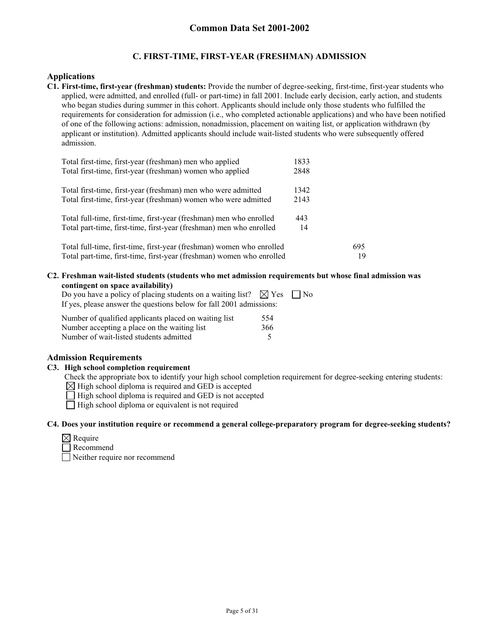#### **C. FIRST-TIME, FIRST-YEAR (FRESHMAN) ADMISSION**

#### **Applications**

**C1. First-time, first-year (freshman) students:** Provide the number of degree-seeking, first-time, first-year students who applied, were admitted, and enrolled (full- or part-time) in fall 2001. Include early decision, early action, and students who began studies during summer in this cohort. Applicants should include only those students who fulfilled the requirements for consideration for admission (i.e., who completed actionable applications) and who have been notified of one of the following actions: admission, nonadmission, placement on waiting list, or application withdrawn (by applicant or institution). Admitted applicants should include wait-listed students who were subsequently offered admission.

| Total first-time, first-year (freshman) men who applied               | 1833 |     |
|-----------------------------------------------------------------------|------|-----|
| Total first-time, first-year (freshman) women who applied             | 2848 |     |
| Total first-time, first-year (freshman) men who were admitted         | 1342 |     |
| Total first-time, first-year (freshman) women who were admitted       | 2143 |     |
| Total full-time, first-time, first-year (freshman) men who enrolled   | 443  |     |
| Total part-time, first-time, first-year (freshman) men who enrolled   | 14   |     |
| Total full-time, first-time, first-year (freshman) women who enrolled |      | 695 |
| Total part-time, first-time, first-year (freshman) women who enrolled |      | 19  |

**C2. Freshman wait-listed students (students who met admission requirements but whose final admission was contingent on space availability)** 

| Do you have a policy of placing students on a waiting list? $\boxtimes$ Yes $\parallel$ No |  |
|--------------------------------------------------------------------------------------------|--|
| If yes, please answer the questions below for fall 2001 admissions:                        |  |
|                                                                                            |  |

| Number of qualified applicants placed on waiting list | 554 |
|-------------------------------------------------------|-----|
| Number accepting a place on the waiting list          | 366 |
| Number of wait-listed students admitted               |     |

#### **Admission Requirements**

#### **C3. High school completion requirement**

Check the appropriate box to identify your high school completion requirement for degree-seeking entering students:

 $\boxtimes$  High school diploma is required and GED is accepted

 $\Box$  High school diploma is required and GED is not accepted

 $\Box$  High school diploma or equivalent is not required

#### **C4. Does your institution require or recommend a general college-preparatory program for degree-seeking students?**

| I×I Require |
|-------------|
|             |

**Recommend** Neither require nor recommend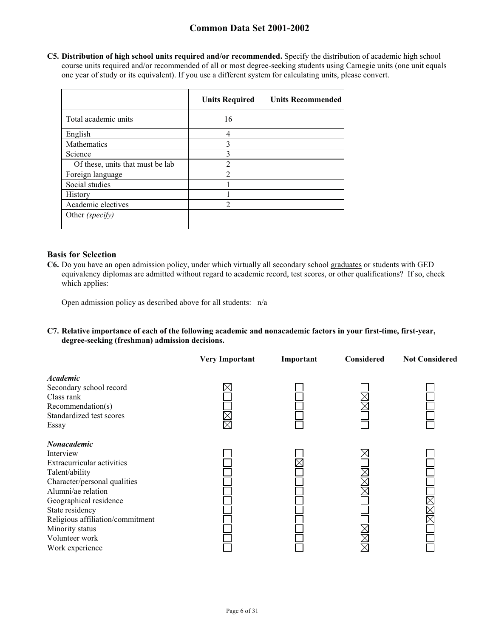**C5. Distribution of high school units required and/or recommended.** Specify the distribution of academic high school course units required and/or recommended of all or most degree-seeking students using Carnegie units (one unit equals one year of study or its equivalent). If you use a different system for calculating units, please convert.

|                                  | <b>Units Required</b> | <b>Units Recommended</b> |
|----------------------------------|-----------------------|--------------------------|
| Total academic units             | 16                    |                          |
| English                          | 4                     |                          |
| Mathematics                      | 3                     |                          |
| Science                          | 3                     |                          |
| Of these, units that must be lab | $\overline{2}$        |                          |
| Foreign language                 |                       |                          |
| Social studies                   |                       |                          |
| History                          |                       |                          |
| Academic electives               | 2                     |                          |
| Other (specify)                  |                       |                          |

#### **Basis for Selection**

**C6.** Do you have an open admission policy, under which virtually all secondary school graduates or students with GED equivalency diplomas are admitted without regard to academic record, test scores, or other qualifications? If so, check which applies:

Open admission policy as described above for all students: n/a

#### **C7. Relative importance of each of the following academic and nonacademic factors in your first-time, first-year, degree-seeking (freshman) admission decisions.**

|                                                                                                                                                                                                                                                                         | <b>Very Important</b>   | Important | <b>Considered</b> | <b>Not Considered</b> |
|-------------------------------------------------------------------------------------------------------------------------------------------------------------------------------------------------------------------------------------------------------------------------|-------------------------|-----------|-------------------|-----------------------|
| <b>Academic</b><br>Secondary school record<br>Class rank<br>Recommendation(s)<br>Standardized test scores<br>Essay                                                                                                                                                      | $\times$<br>$\boxtimes$ |           |                   |                       |
| Nonacademic<br>Interview<br>Extracurricular activities<br>Talent/ability<br>Character/personal qualities<br>Alumni/ae relation<br>Geographical residence<br>State residency<br>Religious affiliation/commitment<br>Minority status<br>Volunteer work<br>Work experience |                         |           |                   |                       |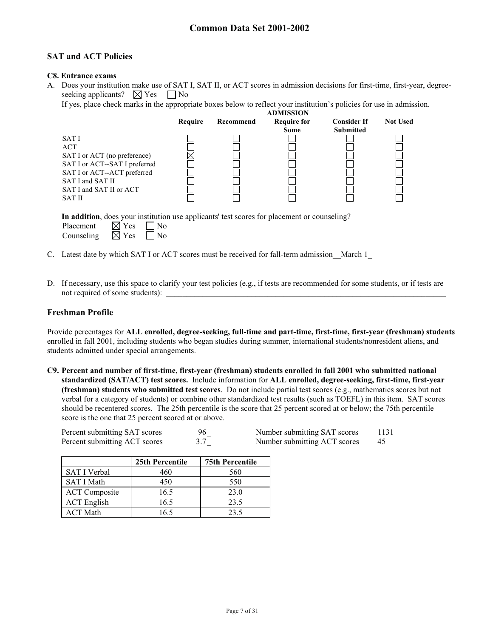## **SAT and ACT Policies**

#### **C8. Entrance exams**

A. Does your institution make use of SAT I, SAT II, or ACT scores in admission decisions for first-time, first-year, degreeseeking applicants?  $\boxtimes$  Yes  $\Box$  No

If yes, place check marks in the appropriate boxes below to reflect your institution's policies for use in admission. **ADMISSION** 

|                                                              |         |           | ADMISSIUN                         |                                        |                 |
|--------------------------------------------------------------|---------|-----------|-----------------------------------|----------------------------------------|-----------------|
|                                                              | Require | Recommend | <b>Require for</b><br><b>Some</b> | <b>Consider If</b><br><b>Submitted</b> | <b>Not Used</b> |
| SAT I                                                        |         |           |                                   |                                        |                 |
| ACT                                                          |         |           |                                   |                                        |                 |
| SAT I or ACT (no preference)                                 |         |           |                                   |                                        |                 |
| SAT I or ACT--SAT I preferred<br>SAT I or ACT--ACT preferred |         |           |                                   |                                        |                 |
| SAT I and SAT II                                             |         |           |                                   |                                        |                 |
| SAT I and SAT II or ACT                                      |         |           |                                   |                                        |                 |
| SAT II                                                       |         |           |                                   |                                        |                 |
|                                                              |         |           |                                   |                                        |                 |

**In addition**, does your institution use applicants' test scores for placement or counseling?

| Placement  | $\boxtimes$ Yes | $\vert$ No |
|------------|-----------------|------------|
| Counseling | $\boxtimes$ Yes | $\Box$ No  |

- C. Latest date by which SAT I or ACT scores must be received for fall-term admission\_\_March 1\_
- D. If necessary, use this space to clarify your test policies (e.g., if tests are recommended for some students, or if tests are not required of some students):

### **Freshman Profile**

Provide percentages for **ALL enrolled, degree-seeking, full-time and part-time, first-time, first-year (freshman) students**  enrolled in fall 2001, including students who began studies during summer, international students/nonresident aliens, and students admitted under special arrangements.

**C9. Percent and number of first-time, first-year (freshman) students enrolled in fall 2001 who submitted national standardized (SAT/ACT) test scores.** Include information for **ALL enrolled, degree-seeking, first-time, first-year (freshman) students who submitted test scores**. Do not include partial test scores (e.g., mathematics scores but not verbal for a category of students) or combine other standardized test results (such as TOEFL) in this item. SAT scores should be recentered scores. The 25th percentile is the score that 25 percent scored at or below; the 75th percentile score is the one that 25 percent scored at or above.

| Percent submitting SAT scores | 96 | Number submitting SAT scores | 1131 |
|-------------------------------|----|------------------------------|------|
| Percent submitting ACT scores |    | Number submitting ACT scores | 45   |

|                      | 25th Percentile | <b>75th Percentile</b> |
|----------------------|-----------------|------------------------|
| <b>SAT I Verbal</b>  | 460             | 560                    |
| SAT I Math           | 450             | 550                    |
| <b>ACT</b> Composite | 16.5            | 23.0                   |
| <b>ACT</b> English   | 16.5            | 23.5                   |
| <b>ACT Math</b>      | 16.5            | 23.5                   |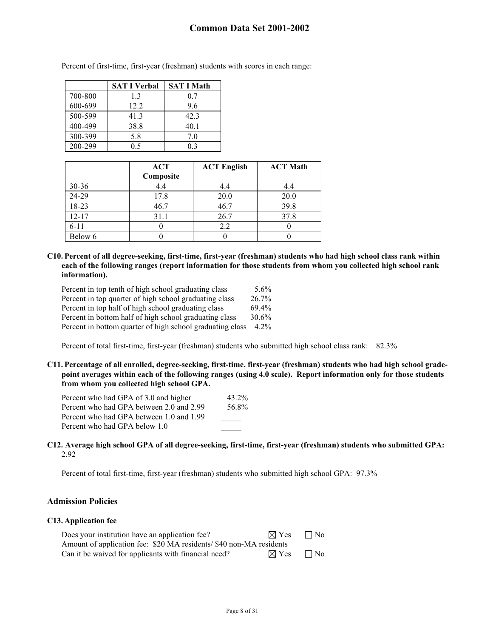|         | <b>SAT I Verbal</b> | <b>SAT I Math</b> |
|---------|---------------------|-------------------|
| 700-800 | 1.3                 | 0.7               |
| 600-699 | 12.2.               | 9.6               |
| 500-599 | 41.3                | 42.3              |
| 400-499 | 38.8                | 40.1              |
| 300-399 | 5.8                 | 7.0               |
| 200-299 | 0.5                 | 0.3               |

Percent of first-time, first-year (freshman) students with scores in each range:

|           | <b>ACT</b> | <b>ACT English</b> | <b>ACT Math</b> |
|-----------|------------|--------------------|-----------------|
|           | Composite  |                    |                 |
| $30 - 36$ | 4.4        | 4.4                | 4.4             |
| 24-29     | 17.8       | 20.0               | 20.0            |
| 18-23     | 46.7       | 46.7               | 39.8            |
| $12 - 17$ | 31.1       | 26.7               | 37.8            |
| $6 - 11$  |            | 2.2                |                 |
| Below 6   |            |                    |                 |

**C10. Percent of all degree-seeking, first-time, first-year (freshman) students who had high school class rank within each of the following ranges (report information for those students from whom you collected high school rank information).** 

| Percent in top tenth of high school graduating class      | 5.6%    |
|-----------------------------------------------------------|---------|
| Percent in top quarter of high school graduating class    | 26.7%   |
| Percent in top half of high school graduating class       | 69.4%   |
| Percent in bottom half of high school graduating class    | 30.6%   |
| Percent in bottom quarter of high school graduating class | $4.2\%$ |

Percent of total first-time, first-year (freshman) students who submitted high school class rank: 82.3%

**C11. Percentage of all enrolled, degree-seeking, first-time, first-year (freshman) students who had high school gradepoint averages within each of the following ranges (using 4.0 scale). Report information only for those students from whom you collected high school GPA.** 

| Percent who had GPA of 3.0 and higher    | 43.2% |
|------------------------------------------|-------|
| Percent who had GPA between 2.0 and 2.99 | 56.8% |
| Percent who had GPA between 1.0 and 1.99 |       |
| Percent who had GPA below 1.0            |       |

#### **C12. Average high school GPA of all degree-seeking, first-time, first-year (freshman) students who submitted GPA:** 2.92

Percent of total first-time, first-year (freshman) students who submitted high school GPA: 97.3%

#### **Admission Policies**

#### **C13. Application fee**

| Does your institution have an application fee?                     | $\boxtimes$ Yes | $\Box$ No |
|--------------------------------------------------------------------|-----------------|-----------|
| Amount of application fee: \$20 MA residents/\$40 non-MA residents |                 |           |
| Can it be waived for applicants with financial need?               | $\boxtimes$ Yes | $\Box$ No |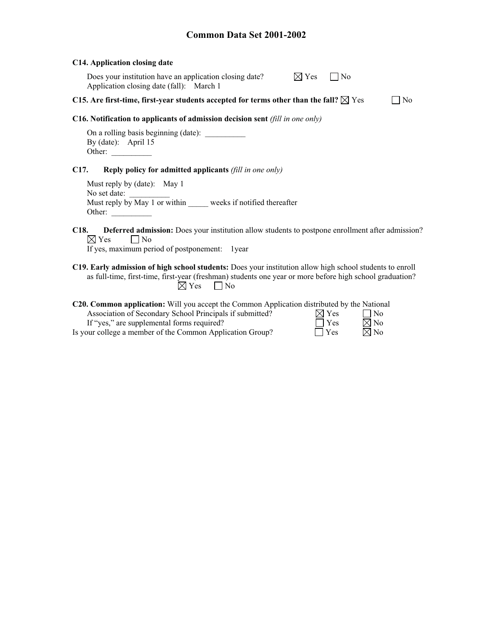#### **C14. Application closing date**

Does your institution have an application closing date?  $\boxtimes Y_{\epsilon}$ Application closing date (fall): March 1

|  | No. |  |
|--|-----|--|
|  |     |  |

#### **C15.** Are first-time, first-year students accepted for terms other than the fall?  $\boxtimes$  Yes  $\Box$  No

#### **C16. Notification to applicants of admission decision sent** *(fill in one only)*

On a rolling basis beginning (date): By (date): April 15 Other:

#### **C17. Reply policy for admitted applicants** *(fill in one only)*

Must reply by (date): May 1 No set date: Must reply by May 1 or within \_\_\_\_\_ weeks if notified thereafter Other: \_\_\_\_\_\_\_\_\_\_

**C18. Deferred admission:** Does your institution allow students to postpone enrollment after admission?  $\boxtimes$  Yes  $\Box$  No

If yes, maximum period of postponement: 1year

**C19. Early admission of high school students:** Does your institution allow high school students to enroll as full-time, first-time, first-year (freshman) students one year or more before high school graduation?<br> $\boxtimes$  Yes  $\Box$  No  $\Box$  No

| <b>C20. Common application:</b> Will you accept the Common Application distributed by the National |                 |                |
|----------------------------------------------------------------------------------------------------|-----------------|----------------|
| Association of Secondary School Principals if submitted?                                           | $\boxtimes$ Yes | $\Box$ No      |
| If "yes," are supplemental forms required?                                                         | $\Box$ Yes      | $\boxtimes$ No |
| Is your college a member of the Common Application Group?                                          | $\Box$ Yes      | $\boxtimes$ No |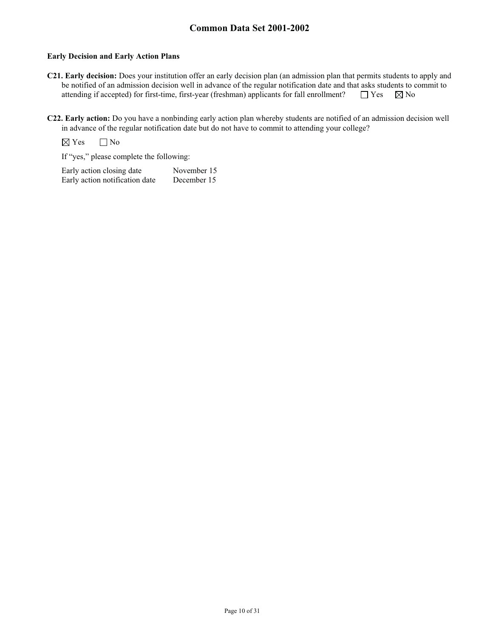#### **Early Decision and Early Action Plans**

- **C21. Early decision:** Does your institution offer an early decision plan (an admission plan that permits students to apply and be notified of an admission decision well in advance of the regular notification date and that asks students to commit to attending if accepted) for first-time, first-year (freshman) applicants for fall enrollment?  $\Box$  Yes  $\Box$  No
- **C22. Early action:** Do you have a nonbinding early action plan whereby students are notified of an admission decision well in advance of the regular notification date but do not have to commit to attending your college?

 $\boxtimes$  Yes  $\Box$  No

If "yes," please complete the following:

Early action closing date November 15 Early action notification date December 15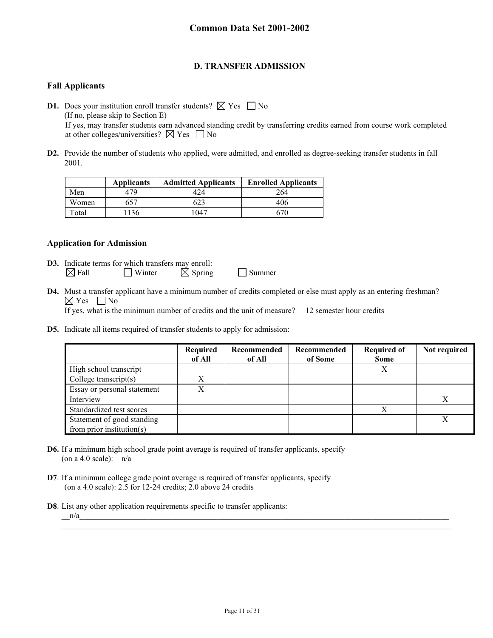### **D. TRANSFER ADMISSION**

#### **Fall Applicants**

**D1.** Does your institution enroll transfer students?  $\boxtimes$  Yes  $\Box$  No (If no, please skip to Section E) If yes, may transfer students earn advanced standing credit by transferring credits earned from course work completed at other colleges/universities?  $\boxtimes$  Yes  $\Box$  No

**D2.** Provide the number of students who applied, were admitted, and enrolled as degree-seeking transfer students in fall 2001.

|       | <b>Applicants</b> | <b>Admitted Applicants</b> | <b>Enrolled Applicants</b> |
|-------|-------------------|----------------------------|----------------------------|
| Men   | 479               | 424                        | 264                        |
| Women |                   |                            | 406                        |
| Total | 36                | 047                        |                            |

#### **Application for Admission**

- **D3.** Indicate terms for which transfers may enroll:  $\boxtimes$  Fall Winter  $\boxtimes$  Spring Summer
- **D4.** Must a transfer applicant have a minimum number of credits completed or else must apply as an entering freshman?  $\boxtimes$  Yes  $\Box$  No If yes, what is the minimum number of credits and the unit of measure? 12 semester hour credits
- **D5.** Indicate all items required of transfer students to apply for admission:

|                                                         | Required<br>of All | Recommended<br>of All | Recommended<br>of Some | <b>Required of</b><br><b>Some</b> | Not required |
|---------------------------------------------------------|--------------------|-----------------------|------------------------|-----------------------------------|--------------|
| High school transcript                                  |                    |                       |                        | Х                                 |              |
| College transcript $(s)$                                | Х                  |                       |                        |                                   |              |
| Essay or personal statement                             |                    |                       |                        |                                   |              |
| Interview                                               |                    |                       |                        |                                   |              |
| Standardized test scores                                |                    |                       |                        | X                                 |              |
| Statement of good standing<br>from prior institution(s) |                    |                       |                        |                                   |              |

- **D6.** If a minimum high school grade point average is required of transfer applicants, specify (on a 4.0 scale):  $n/a$
- **D7**. If a minimum college grade point average is required of transfer applicants, specify (on a 4.0 scale): 2.5 for 12-24 credits; 2.0 above 24 credits
- **D8**. List any other application requirements specific to transfer applicants:

 $n/a$ 

 $\mathcal{L}_\text{max}$  and  $\mathcal{L}_\text{max}$  and  $\mathcal{L}_\text{max}$  and  $\mathcal{L}_\text{max}$  and  $\mathcal{L}_\text{max}$  and  $\mathcal{L}_\text{max}$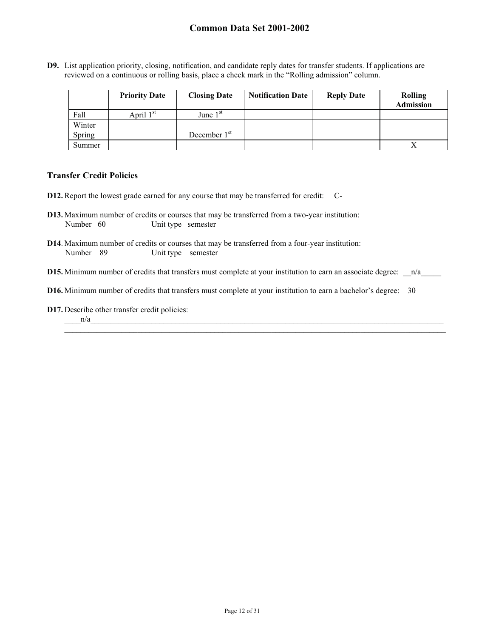**D9.** List application priority, closing, notification, and candidate reply dates for transfer students. If applications are reviewed on a continuous or rolling basis, place a check mark in the "Rolling admission" column.

|        | <b>Priority Date</b>  | <b>Closing Date</b> | <b>Notification Date</b> | <b>Reply Date</b> | <b>Rolling</b><br><b>Admission</b> |
|--------|-----------------------|---------------------|--------------------------|-------------------|------------------------------------|
| Fall   | April 1 <sup>st</sup> | June $1st$          |                          |                   |                                    |
| Winter |                       |                     |                          |                   |                                    |
| Spring |                       | December $1st$      |                          |                   |                                    |
| Summer |                       |                     |                          |                   |                                    |

#### **Transfer Credit Policies**

- **D12.** Report the lowest grade earned for any course that may be transferred for credit: C-
- **D13.** Maximum number of credits or courses that may be transferred from a two-year institution: Number 60 Unit type semester
- **D14**. Maximum number of credits or courses that may be transferred from a four-year institution: Number 89 Unit type semester
- **D15.** Minimum number of credits that transfers must complete at your institution to earn an associate degree:  $n/a$

 $\_$  ,  $\_$  ,  $\_$  ,  $\_$  ,  $\_$  ,  $\_$  ,  $\_$  ,  $\_$  ,  $\_$  ,  $\_$  ,  $\_$  ,  $\_$  ,  $\_$  ,  $\_$  ,  $\_$  ,  $\_$  ,  $\_$  ,  $\_$  ,  $\_$  ,  $\_$  ,  $\_$  ,  $\_$  ,  $\_$  ,  $\_$  ,  $\_$  ,  $\_$  ,  $\_$  ,  $\_$  ,  $\_$  ,  $\_$  ,  $\_$  ,  $\_$  ,  $\_$  ,  $\_$  ,  $\_$  ,  $\_$  ,  $\_$  ,

- **D16.** Minimum number of credits that transfers must complete at your institution to earn a bachelor's degree: 30
- **D17.** Describe other transfer credit policies:

#### $n/a$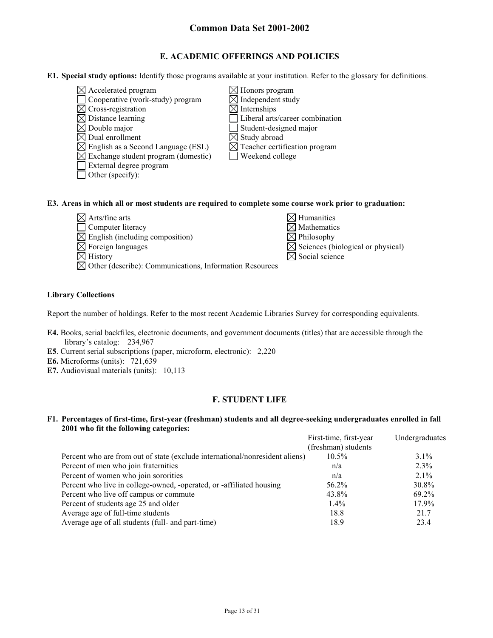## **E. ACADEMIC OFFERINGS AND POLICIES**

- **E1. Special study options:** Identify those programs available at your institution. Refer to the glossary for definitions.
	- $\boxtimes$  Accelerated program  $\boxtimes$  Honors program
	- $\Box$  Cooperative (work-study) program  $\Box$  Independent study
	- $\boxtimes$  Cross-registration  $\boxtimes$  Internships<br> $\boxtimes$  Distance learning  $\Box$  Liberal arts
	-
	- $\boxtimes$  Double major<br>  $\boxtimes$  Dual enrollment<br>  $\boxtimes$  Study abroad
	-
	- $\boxtimes$  Dual enrollment<br>  $\boxtimes$  English as a Second Language (ESL)  $\boxtimes$  Teacher certification program  $\boxtimes$  English as a Second Language (ESL)
	- $\boxtimes$  Exchange student program (domestic)  $\Box$  Weekend college
	- External degree program
	- $\Box$  Other (specify):
- 
- 
- Liberal arts/career combination
- 
- 
- 
- 

#### **E3. Areas in which all or most students are required to complete some course work prior to graduation:**

- $\boxtimes$  Arts/fine arts
- $\Box$  Computer literacy
- $\boxtimes$  English (including composition)
- 
- 
- $\boxtimes$  Other (describe): Communications, Information Resources

| $\boxtimes$ Arts/fine arts                  | $\boxtimes$ Humanities                        |
|---------------------------------------------|-----------------------------------------------|
| $\Box$ Computer literacy                    | $\boxtimes$ Mathematics                       |
| $\boxtimes$ English (including composition) | $\boxtimes$ Philosophy                        |
| $\boxtimes$ Foreign languages               | $\boxtimes$ Sciences (biological or physical) |
| $\boxtimes$ History                         | $\boxtimes$ Social science                    |

#### **Library Collections**

Report the number of holdings. Refer to the most recent Academic Libraries Survey for corresponding equivalents.

- **E4.** Books, serial backfiles, electronic documents, and government documents (titles) that are accessible through the library's catalog: 234,967
- **E5**. Current serial subscriptions (paper, microform, electronic): 2,220
- **E6.** Microforms (units): 721,639
- **E7.** Audiovisual materials (units): 10,113

### **F. STUDENT LIFE**

#### **F1. Percentages of first-time, first-year (freshman) students and all degree-seeking undergraduates enrolled in fall 2001 who fit the following categories:**

|                                                                              | First-time, first-year | Undergraduates |
|------------------------------------------------------------------------------|------------------------|----------------|
|                                                                              | (freshman) students    |                |
| Percent who are from out of state (exclude international/nonresident aliens) | $10.5\%$               | $3.1\%$        |
| Percent of men who join fraternities                                         | n/a                    | $2.3\%$        |
| Percent of women who join sororities                                         | n/a                    | $2.1\%$        |
| Percent who live in college-owned, -operated, or -affiliated housing         | 56.2%                  | 30.8%          |
| Percent who live off campus or commute                                       | 43.8%                  | 69.2%          |
| Percent of students age 25 and older                                         | $1.4\%$                | $17.9\%$       |
| Average age of full-time students                                            | 18.8                   | 21.7           |
| Average age of all students (full- and part-time)                            | 18.9                   | 23.4           |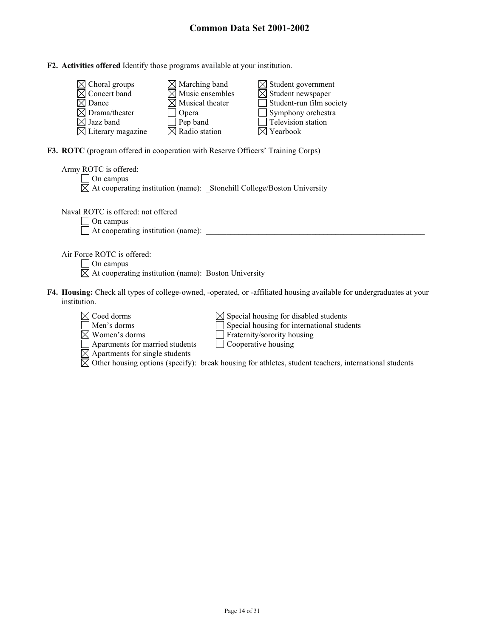#### **F2. Activities offered** Identify those programs available at your institution.

| $\boxtimes$ Choral groups     | $\boxtimes$ Marching band   | $\boxtimes$ Student government  |
|-------------------------------|-----------------------------|---------------------------------|
| $\boxtimes$ Concert band      | $\boxtimes$ Music ensembles | $\boxtimes$ Student newspaper   |
| $\boxtimes$ Dance             | $\boxtimes$ Musical theater | $\Box$ Student-run film society |
| $\boxtimes$ Drama/theater     | Opera                       | $\Box$ Symphony orchestra       |
| $\boxtimes$ Jazz band         | $\Box$ Pep band             | Television station              |
| $\boxtimes$ Literary magazine | $\boxtimes$ Radio station   | $\boxtimes$ Yearbook            |

**F3. ROTC** (program offered in cooperation with Reserve Officers' Training Corps)

Apartments for married students Cooperative housing

Apartments for single students

| Army ROTC is offered:<br>On campus<br>$\boxtimes$ At cooperating institution (name): _Stonehill College/Boston University                                                             |
|---------------------------------------------------------------------------------------------------------------------------------------------------------------------------------------|
| Naval ROTC is offered: not offered<br>On campus<br>At cooperating institution (name):                                                                                                 |
| Air Force ROTC is offered:<br>On campus<br>$\boxtimes$ At cooperating institution (name): Boston University                                                                           |
| F4. Housing: Check all types of college-owned, -operated, or -affiliated housing available for undergraduates at your<br>institution.                                                 |
| $\times$ Coed dorms<br>$\boxtimes$ Special housing for disabled students<br>Special housing for international students<br>Men's dorms<br>Women's dorms<br>Fraternity/sorority housing |

| Apartments for single students                                                                        |  |  |
|-------------------------------------------------------------------------------------------------------|--|--|
| Other housing options (specify): break housing for athletes, student teachers, international students |  |  |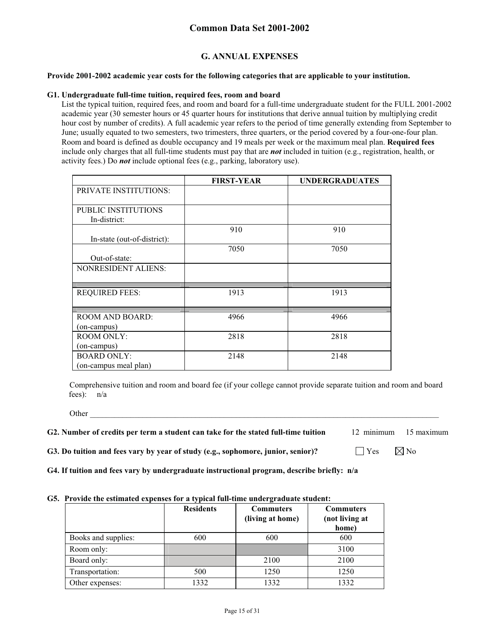### **G. ANNUAL EXPENSES**

#### **Provide 2001-2002 academic year costs for the following categories that are applicable to your institution.**

#### **G1. Undergraduate full-time tuition, required fees, room and board**

List the typical tuition, required fees, and room and board for a full-time undergraduate student for the FULL 2001-2002 academic year (30 semester hours or 45 quarter hours for institutions that derive annual tuition by multiplying credit hour cost by number of credits). A full academic year refers to the period of time generally extending from September to June; usually equated to two semesters, two trimesters, three quarters, or the period covered by a four-one-four plan. Room and board is defined as double occupancy and 19 meals per week or the maximum meal plan. **Required fees** include only charges that all full-time students must pay that are *not* included in tuition (e.g., registration, health, or activity fees.) Do *not* include optional fees (e.g., parking, laboratory use).

|                              | <b>FIRST-YEAR</b> | <b>UNDERGRADUATES</b> |
|------------------------------|-------------------|-----------------------|
| <b>PRIVATE INSTITUTIONS:</b> |                   |                       |
|                              |                   |                       |
| PUBLIC INSTITUTIONS          |                   |                       |
| In-district:                 |                   |                       |
|                              | 910               | 910                   |
| In-state (out-of-district):  |                   |                       |
|                              | 7050              | 7050                  |
| Out-of-state:                |                   |                       |
| <b>NONRESIDENT ALIENS:</b>   |                   |                       |
|                              |                   |                       |
| <b>REQUIRED FEES:</b>        | 1913              | 1913                  |
|                              |                   |                       |
|                              |                   |                       |
| ROOM AND BOARD:              | 4966              | 4966                  |
| (on-campus)                  |                   |                       |
| <b>ROOM ONLY:</b>            | 2818              | 2818                  |
| (on-campus)                  |                   |                       |
| <b>BOARD ONLY:</b>           | 2148              | 2148                  |
| (on-campus meal plan)        |                   |                       |

Comprehensive tuition and room and board fee (if your college cannot provide separate tuition and room and board fees): n/a

Other \_\_\_\_\_\_\_\_\_\_\_\_\_\_\_\_\_\_\_\_\_\_\_\_\_\_\_\_\_\_\_\_\_\_\_\_\_\_\_\_\_\_\_\_\_\_\_\_\_\_\_\_\_\_\_\_\_\_\_\_\_\_\_\_\_\_\_\_\_\_\_\_\_\_\_\_\_\_\_\_\_\_\_\_\_\_

| G2. Number of credits per term a student can take for the stated full-time tuition | 12 minimum 15 maximum |  |
|------------------------------------------------------------------------------------|-----------------------|--|
|------------------------------------------------------------------------------------|-----------------------|--|

**G3. Do tuition and fees vary by year of study (e.g., sophomore, junior, senior)?**  $\Box$  Yes  $\Box$  Yo

**G4. If tuition and fees vary by undergraduate instructional program, describe briefly: n/a**

#### **G5. Provide the estimated expenses for a typical full-time undergraduate student:**

|                     | <b>Residents</b> | <b>Commuters</b> | <b>Commuters</b> |
|---------------------|------------------|------------------|------------------|
|                     |                  | (living at home) | (not living at   |
|                     |                  |                  | home)            |
| Books and supplies: | 600              | 600              | 600              |
| Room only:          |                  |                  | 3100             |
| Board only:         |                  | 2100             | 2100             |
| Transportation:     | 500              | 1250             | 1250             |
| Other expenses:     | 1332             | 1332             | 1332             |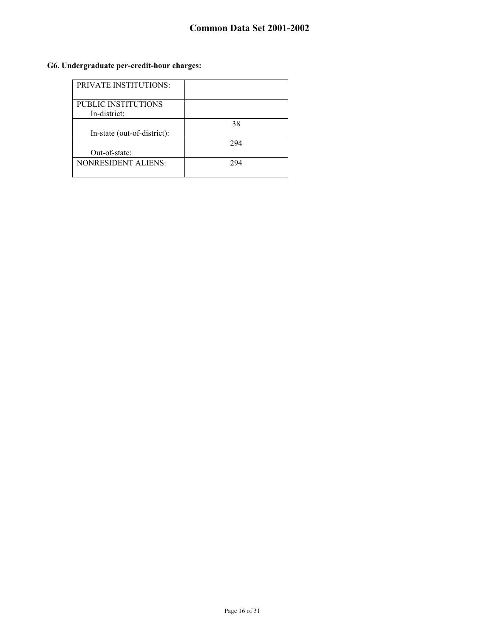## **G6. Undergraduate per-credit-hour charges:**

| PRIVATE INSTITUTIONS:       |     |
|-----------------------------|-----|
| <b>PUBLIC INSTITUTIONS</b>  |     |
| In-district:                |     |
|                             | 38  |
| In-state (out-of-district): |     |
|                             | 294 |
| Out-of-state:               |     |
| <b>NONRESIDENT ALIENS:</b>  | 294 |
|                             |     |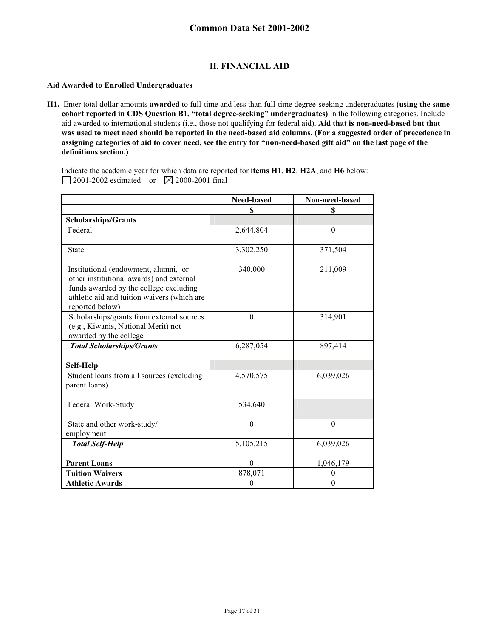## **H. FINANCIAL AID**

#### **Aid Awarded to Enrolled Undergraduates**

**H1.** Enter total dollar amounts **awarded** to full-time and less than full-time degree-seeking undergraduates **(using the same cohort reported in CDS Question B1, "total degree-seeking" undergraduates)** in the following categories. Include aid awarded to international students (i.e., those not qualifying for federal aid). **Aid that is non-need-based but that was used to meet need should be reported in the need-based aid columns. (For a suggested order of precedence in assigning categories of aid to cover need, see the entry for "non-need-based gift aid" on the last page of the definitions section.)** 

Indicate the academic year for which data are reported for **items H1**, **H2**, **H2A**, and **H6** below: 2001-2002 estimated or  $\boxtimes$  2000-2001 final

|                                                                                                                                                                                              | Need-based   | Non-need-based |
|----------------------------------------------------------------------------------------------------------------------------------------------------------------------------------------------|--------------|----------------|
|                                                                                                                                                                                              | \$           | \$             |
| <b>Scholarships/Grants</b>                                                                                                                                                                   |              |                |
| Federal                                                                                                                                                                                      | 2,644,804    | $\theta$       |
| <b>State</b>                                                                                                                                                                                 | 3,302,250    | 371,504        |
| Institutional (endowment, alumni, or<br>other institutional awards) and external<br>funds awarded by the college excluding<br>athletic aid and tuition waivers (which are<br>reported below) | 340,000      | 211,009        |
| Scholarships/grants from external sources<br>(e.g., Kiwanis, National Merit) not<br>awarded by the college                                                                                   | $\theta$     | 314,901        |
| <b>Total Scholarships/Grants</b>                                                                                                                                                             | 6,287,054    | 897,414        |
| Self-Help                                                                                                                                                                                    |              |                |
| Student loans from all sources (excluding<br>parent loans)                                                                                                                                   | 4,570,575    | 6,039,026      |
| Federal Work-Study                                                                                                                                                                           | 534,640      |                |
| State and other work-study/<br>employment                                                                                                                                                    | $\Omega$     | $\Omega$       |
| <b>Total Self-Help</b>                                                                                                                                                                       | 5,105,215    | 6,039,026      |
| <b>Parent Loans</b>                                                                                                                                                                          | $\Omega$     | 1,046,179      |
| <b>Tuition Waivers</b>                                                                                                                                                                       | 878,071      | $\theta$       |
| <b>Athletic Awards</b>                                                                                                                                                                       | $\mathbf{0}$ | $\theta$       |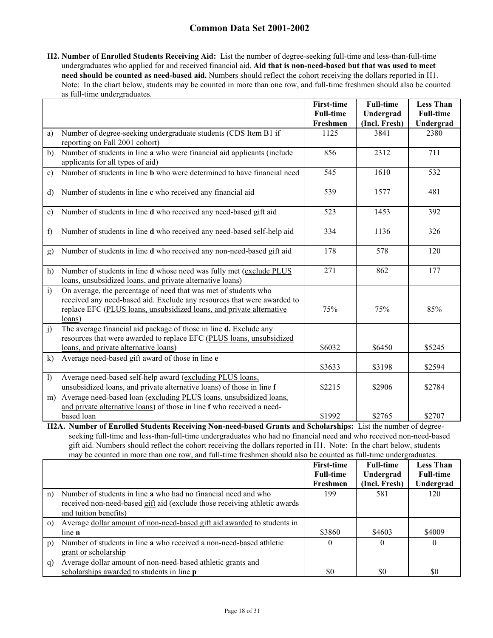**H2. Number of Enrolled Students Receiving Aid:** List the number of degree-seeking full-time and less-than-full-time undergraduates who applied for and received financial aid. **Aid that is non-need-based but that was used to meet need should be counted as need-based aid.** Numbers should reflect the cohort receiving the dollars reported in H1. Note: In the chart below, students may be counted in more than one row, and full-time freshmen should also be counted as full-time undergraduates.

|              |                                                                                                                                                                                                                              | <b>First-time</b><br><b>Full-time</b> | <b>Full-time</b><br>Undergrad | <b>Less Than</b><br><b>Full-time</b> |
|--------------|------------------------------------------------------------------------------------------------------------------------------------------------------------------------------------------------------------------------------|---------------------------------------|-------------------------------|--------------------------------------|
|              |                                                                                                                                                                                                                              | Freshmen                              | (Incl. Fresh)                 | Undergrad                            |
| a)           | Number of degree-seeking undergraduate students (CDS Item B1 if<br>reporting on Fall 2001 cohort)                                                                                                                            | 1125                                  | 3841                          | 2380                                 |
| b)           | Number of students in line a who were financial aid applicants (include<br>applicants for all types of aid)                                                                                                                  | 856                                   | 2312                          | 711                                  |
| c)           | Number of students in line <b>b</b> who were determined to have financial need                                                                                                                                               | 545                                   | 1610                          | 532                                  |
| d)           | Number of students in line c who received any financial aid                                                                                                                                                                  | 539                                   | 1577                          | 481                                  |
| e)           | Number of students in line d who received any need-based gift aid                                                                                                                                                            | 523                                   | 1453                          | 392                                  |
| f            | Number of students in line d who received any need-based self-help aid                                                                                                                                                       | 334                                   | 1136                          | 326                                  |
| g)           | Number of students in line d who received any non-need-based gift aid                                                                                                                                                        | 178                                   | 578                           | 120                                  |
| h)           | Number of students in line d whose need was fully met (exclude PLUS<br>loans, unsubsidized loans, and private alternative loans)                                                                                             | 271                                   | 862                           | 177                                  |
| $\mathbf{i}$ | On average, the percentage of need that was met of students who<br>received any need-based aid. Exclude any resources that were awarded to<br>replace EFC (PLUS loans, unsubsidized loans, and private alternative<br>loans) | 75%                                   | 75%                           | 85%                                  |
| j)           | The average financial aid package of those in line d. Exclude any<br>resources that were awarded to replace EFC (PLUS loans, unsubsidized<br>loans, and private alternative loans)                                           | \$6032                                | \$6450                        | \$5245                               |
| k)           | Average need-based gift award of those in line e                                                                                                                                                                             | \$3633                                | \$3198                        | \$2594                               |
| $\mathbf{I}$ | Average need-based self-help award (excluding PLUS loans,<br>unsubsidized loans, and private alternative loans) of those in line f                                                                                           | \$2215                                | \$2906                        | \$2784                               |
| m)           | Average need-based loan (excluding PLUS loans, unsubsidized loans,<br>and private alternative loans) of those in line f who received a need-<br>based loan                                                                   | \$1992                                | \$2765                        | \$2707                               |

**H2A. Number of Enrolled Students Receiving Non-need-based Grants and Scholarships:** List the number of degreeseeking full-time and less-than-full-time undergraduates who had no financial need and who received non-need-based gift aid. Numbers should reflect the cohort receiving the dollars reported in H1. Note: In the chart below, students may be counted in more than one row, and full-time freshmen should also be counted as full-time undergraduates.

|                |                                                                           | <b>First-time</b> | <b>Full-time</b> | <b>Less Than</b> |
|----------------|---------------------------------------------------------------------------|-------------------|------------------|------------------|
|                |                                                                           | <b>Full-time</b>  | Undergrad        | <b>Full-time</b> |
|                |                                                                           | Freshmen          | (Incl. Fresh)    | Undergrad        |
| n)             | Number of students in line a who had no financial need and who            | 199               | 581              | 120              |
|                | received non-need-based gift aid (exclude those receiving athletic awards |                   |                  |                  |
|                | and tuition benefits)                                                     |                   |                  |                  |
| $\circ$ )      | Average dollar amount of non-need-based gift aid awarded to students in   |                   |                  |                  |
|                | line n                                                                    | \$3860            | \$4603           | \$4009           |
| $\mathfrak{p}$ | Number of students in line a who received a non-need-based athletic       |                   | $\Omega$         | $\Omega$         |
|                | grant or scholarship                                                      |                   |                  |                  |
| q)             | Average dollar amount of non-need-based athletic grants and               |                   |                  |                  |
|                | scholarships awarded to students in line <b>p</b>                         | \$0               | \$0              | \$0              |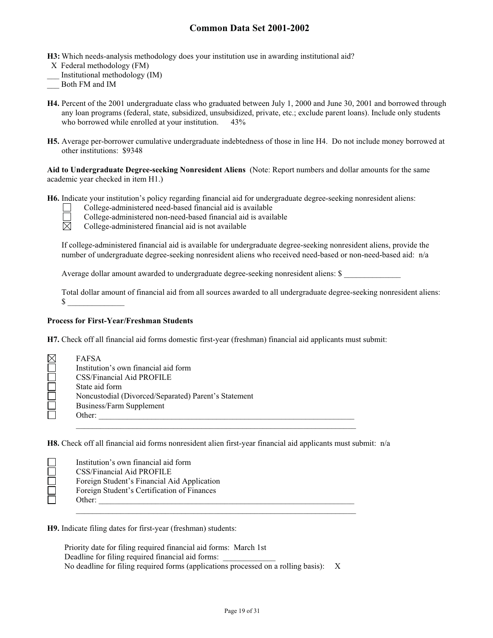**H3:** Which needs-analysis methodology does your institution use in awarding institutional aid?

- X Federal methodology (FM)
- \_\_\_ Institutional methodology (IM)
- \_\_\_ Both FM and IM
- **H4.** Percent of the 2001 undergraduate class who graduated between July 1, 2000 and June 30, 2001 and borrowed through any loan programs (federal, state, subsidized, unsubsidized, private, etc.; exclude parent loans). Include only students who borrowed while enrolled at your institution. 43%
- **H5.** Average per-borrower cumulative undergraduate indebtedness of those in line H4. Do not include money borrowed at other institutions: \$9348

**Aid to Undergraduate Degree-seeking Nonresident Aliens** (Note: Report numbers and dollar amounts for the same academic year checked in item H1.)

**H6.** Indicate your institution's policy regarding financial aid for undergraduate degree-seeking nonresident aliens:

College-administered need-based financial aid is available

College-administered non-need-based financial aid is available<br>
College-administered financial aid is not available

College-administered financial aid is not available

If college-administered financial aid is available for undergraduate degree-seeking nonresident aliens, provide the number of undergraduate degree-seeking nonresident aliens who received need-based or non-need-based aid: n/a

Average dollar amount awarded to undergraduate degree-seeking nonresident aliens: \$

Total dollar amount of financial aid from all sources awarded to all undergraduate degree-seeking nonresident aliens:  $\mathbb{S}$ 

#### **Process for First-Year/Freshman Students**

**H7.** Check off all financial aid forms domestic first-year (freshman) financial aid applicants must submit:

| $\boxtimes$ | <b>FAFSA</b>                                         |
|-------------|------------------------------------------------------|
|             | Institution's own financial aid form                 |
|             | CSS/Financial Aid PROFILE                            |
|             | State aid form                                       |
|             | Noncustodial (Divorced/Separated) Parent's Statement |
|             | Business/Farm Supplement                             |
|             | Other:                                               |
|             |                                                      |

**H8.** Check off all financial aid forms nonresident alien first-year financial aid applicants must submit: n/a

| Institution's own financial aid form        |
|---------------------------------------------|
| CSS/Financial Aid PROFILE                   |
| Foreign Student's Financial Aid Application |
| Foreign Student's Certification of Finances |
| Other:                                      |
|                                             |

**H9.** Indicate filing dates for first-year (freshman) students:

Priority date for filing required financial aid forms: March 1st Deadline for filing required financial aid forms: No deadline for filing required forms (applications processed on a rolling basis): X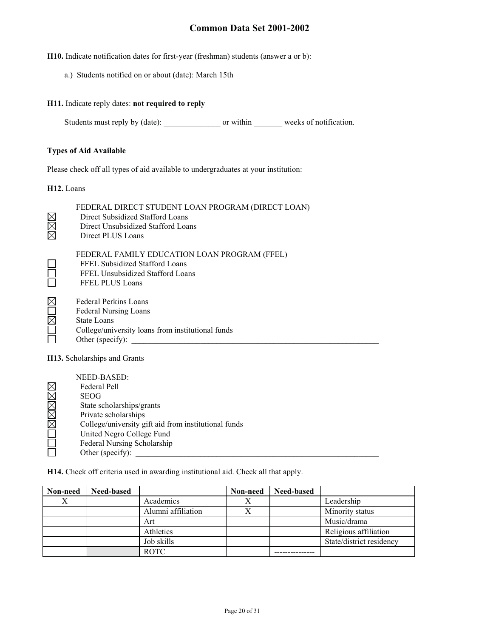**H10.** Indicate notification dates for first-year (freshman) students (answer a or b):

a.) Students notified on or about (date): March 15th

#### **H11.** Indicate reply dates: **not required to reply**

Students must reply by (date): \_\_\_\_\_\_\_\_\_\_\_\_\_\_\_\_\_\_\_\_ or within \_\_\_\_\_\_\_\_\_\_ weeks of notification.

#### **Types of Aid Available**

Please check off all types of aid available to undergraduates at your institution:

**H12.** Loans

| <b>NNN</b>   | FEDERAL DIRECT STUDENT LOAN PROGRAM (DIRECT LOAN)<br>Direct Subsidized Stafford Loans<br>Direct Unsubsidized Stafford Loans<br>Direct PLUS Loans            |
|--------------|-------------------------------------------------------------------------------------------------------------------------------------------------------------|
| $\Box$       | FEDERAL FAMILY EDUCATION LOAN PROGRAM (FFEL)<br>FFEL Subsidized Stafford Loans<br>FFEL Unsubsidized Stafford Loans<br><b>FFEL PLUS Loans</b>                |
| <b>NUMUM</b> | <b>Federal Perkins Loans</b><br><b>Federal Nursing Loans</b><br><b>State Loans</b><br>College/university loans from institutional funds<br>Other (specify): |

**H13.** Scholarships and Grants

|       | NEED-BASED:                                          |
|-------|------------------------------------------------------|
|       | Federal Pell                                         |
|       | <b>SEOG</b>                                          |
|       | State scholarships/grants                            |
| MMMMM | Private scholarships                                 |
|       | College/university gift aid from institutional funds |
|       | United Negro College Fund                            |
|       | Federal Nursing Scholarship                          |
|       | Other (specify):                                     |

**H14.** Check off criteria used in awarding institutional aid. Check all that apply.

| Non-need | Need-based |                    | Non-need | Need-based |                          |
|----------|------------|--------------------|----------|------------|--------------------------|
| Х        |            | Academics          | △        |            | Leadership               |
|          |            | Alumni affiliation |          |            | Minority status          |
|          |            | Art                |          |            | Music/drama              |
|          |            | Athletics          |          |            | Religious affiliation    |
|          |            | Job skills         |          |            | State/district residency |
|          |            | <b>ROTC</b>        |          |            |                          |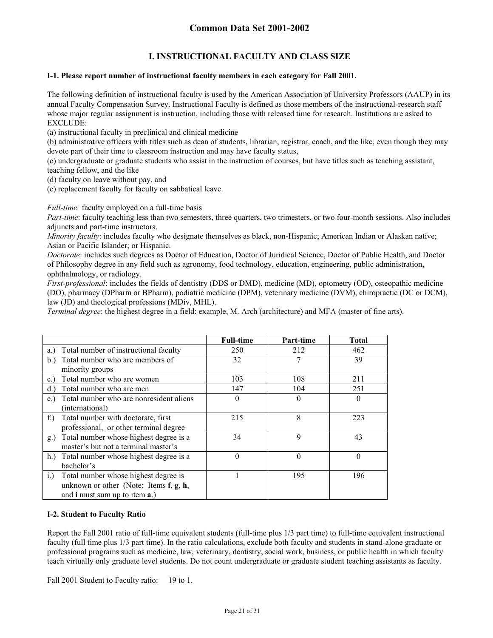## **I. INSTRUCTIONAL FACULTY AND CLASS SIZE**

#### **I-1. Please report number of instructional faculty members in each category for Fall 2001.**

The following definition of instructional faculty is used by the American Association of University Professors (AAUP) in its annual Faculty Compensation Survey. Instructional Faculty is defined as those members of the instructional-research staff whose major regular assignment is instruction, including those with released time for research. Institutions are asked to EXCLUDE:

(a) instructional faculty in preclinical and clinical medicine

(b) administrative officers with titles such as dean of students, librarian, registrar, coach, and the like, even though they may devote part of their time to classroom instruction and may have faculty status,

(c) undergraduate or graduate students who assist in the instruction of courses, but have titles such as teaching assistant, teaching fellow, and the like

(d) faculty on leave without pay, and

(e) replacement faculty for faculty on sabbatical leave.

*Full-time:* faculty employed on a full-time basis

*Part-time*: faculty teaching less than two semesters, three quarters, two trimesters, or two four-month sessions. Also includes adjuncts and part-time instructors.

*Minority faculty*: includes faculty who designate themselves as black, non-Hispanic; American Indian or Alaskan native; Asian or Pacific Islander; or Hispanic.

*Doctorate*: includes such degrees as Doctor of Education, Doctor of Juridical Science, Doctor of Public Health, and Doctor of Philosophy degree in any field such as agronomy, food technology, education, engineering, public administration, ophthalmology, or radiology.

*First-professional*: includes the fields of dentistry (DDS or DMD), medicine (MD), optometry (OD), osteopathic medicine (DO), pharmacy (DPharm or BPharm), podiatric medicine (DPM), veterinary medicine (DVM), chiropractic (DC or DCM), law (JD) and theological professions (MDiv, MHL).

*Terminal degree*: the highest degree in a field: example, M. Arch (architecture) and MFA (master of fine arts).

|                                                     | <b>Full-time</b> | Part-time | <b>Total</b> |
|-----------------------------------------------------|------------------|-----------|--------------|
| Total number of instructional faculty<br>a.)        | 250              | 212       | 462          |
| Total number who are members of<br>b.               | 32               |           | 39           |
| minority groups                                     |                  |           |              |
| Total number who are women<br>c.                    | 103              | 108       | 211          |
| Total number who are men<br>d.                      | 147              | 104       | 251          |
| Total number who are nonresident aliens<br>e.)      | $\theta$         | 0         | $\theta$     |
| (international)                                     |                  |           |              |
| Total number with doctorate, first<br>$f_{\cdot}$ ) | 215              | 8         | 223          |
| professional, or other terminal degree              |                  |           |              |
| Total number whose highest degree is a<br>g.)       | 34               | 9         | 43           |
| master's but not a terminal master's                |                  |           |              |
| h.) Total number whose highest degree is a          | $\theta$         | $\theta$  | $\theta$     |
| bachelor's                                          |                  |           |              |
| Total number whose highest degree is<br>i.          |                  | 195       | 196          |
| unknown or other (Note: Items $f, g, h$ ,           |                  |           |              |
| and <b>i</b> must sum up to item <b>a</b> .)        |                  |           |              |

#### **I-2. Student to Faculty Ratio**

Report the Fall 2001 ratio of full-time equivalent students (full-time plus 1/3 part time) to full-time equivalent instructional faculty (full time plus 1/3 part time). In the ratio calculations, exclude both faculty and students in stand-alone graduate or professional programs such as medicine, law, veterinary, dentistry, social work, business, or public health in which faculty teach virtually only graduate level students. Do not count undergraduate or graduate student teaching assistants as faculty.

Fall 2001 Student to Faculty ratio: 19 to 1.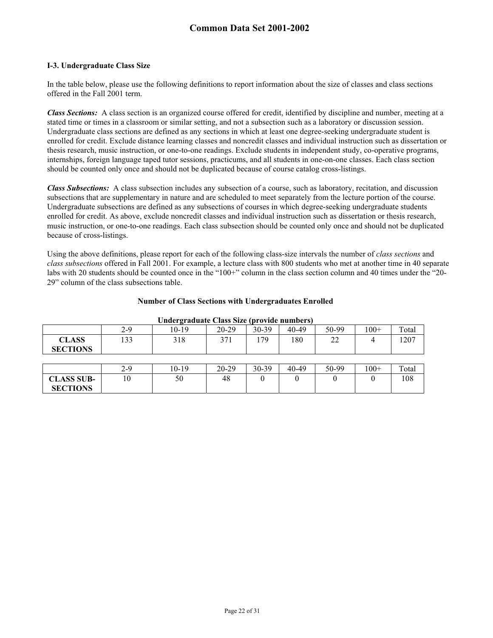#### **I-3. Undergraduate Class Size**

**SECTIONS** 

In the table below, please use the following definitions to report information about the size of classes and class sections offered in the Fall 2001 term.

*Class Sections:* A class section is an organized course offered for credit, identified by discipline and number, meeting at a stated time or times in a classroom or similar setting, and not a subsection such as a laboratory or discussion session. Undergraduate class sections are defined as any sections in which at least one degree-seeking undergraduate student is enrolled for credit. Exclude distance learning classes and noncredit classes and individual instruction such as dissertation or thesis research, music instruction, or one-to-one readings. Exclude students in independent study, co-operative programs, internships, foreign language taped tutor sessions, practicums, and all students in one-on-one classes. Each class section should be counted only once and should not be duplicated because of course catalog cross-listings.

*Class Subsections:* A class subsection includes any subsection of a course, such as laboratory, recitation, and discussion subsections that are supplementary in nature and are scheduled to meet separately from the lecture portion of the course. Undergraduate subsections are defined as any subsections of courses in which degree-seeking undergraduate students enrolled for credit. As above, exclude noncredit classes and individual instruction such as dissertation or thesis research, music instruction, or one-to-one readings. Each class subsection should be counted only once and should not be duplicated because of cross-listings.

Using the above definitions, please report for each of the following class-size intervals the number of *class sections* and *class subsections* offered in Fall 2001. For example, a lecture class with 800 students who met at another time in 40 separate labs with 20 students should be counted once in the "100+" column in the class section column and 40 times under the "20- 29" column of the class subsections table.

| Undergraduate Class Size (provide numbers) |     |         |           |       |           |       |        |       |  |
|--------------------------------------------|-----|---------|-----------|-------|-----------|-------|--------|-------|--|
|                                            | 2-9 | 10-19   | 20-29     | 30-39 | 40-49     | 50-99 | $100+$ | Total |  |
| <b>CLASS</b><br><b>SECTIONS</b>            | 133 | 318     | 371       | 179   | 180       | 22    | 4      | 1207  |  |
|                                            |     |         |           |       |           |       |        |       |  |
|                                            | 2-9 | $10-19$ | $20 - 29$ | 30-39 | $40 - 49$ | 50-99 | $100+$ | Total |  |
| <b>CLASS SUB-</b>                          | 10  | 50      | 48        |       |           |       |        | 108   |  |

#### **Number of Class Sections with Undergraduates Enrolled**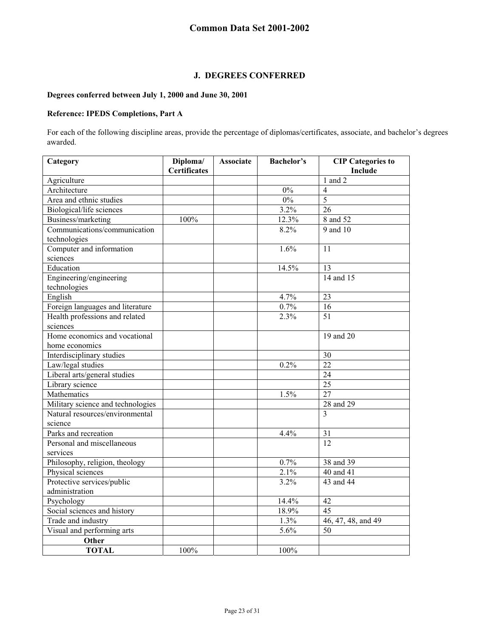## **J. DEGREES CONFERRED**

#### **Degrees conferred between July 1, 2000 and June 30, 2001**

#### **Reference: IPEDS Completions, Part A**

For each of the following discipline areas, provide the percentage of diplomas/certificates, associate, and bachelor's degrees awarded.

| Category                                   | Diploma/<br><b>Certificates</b> | <b>Associate</b> | <b>Bachelor's</b> | <b>CIP</b> Categories to<br>Include |
|--------------------------------------------|---------------------------------|------------------|-------------------|-------------------------------------|
| Agriculture                                |                                 |                  |                   | $1$ and $2$                         |
| Architecture                               |                                 |                  | 0%                | $\overline{4}$                      |
| Area and ethnic studies                    |                                 |                  | $0\%$             | 5                                   |
| Biological/life sciences                   |                                 |                  | 3.2%              | 26                                  |
| Business/marketing                         | 100%                            |                  | 12.3%             | 8 and 52                            |
| Communications/communication               |                                 |                  | 8.2%              | 9 and 10                            |
| technologies                               |                                 |                  |                   |                                     |
| Computer and information                   |                                 |                  | 1.6%              | 11                                  |
| sciences                                   |                                 |                  |                   |                                     |
| Education                                  |                                 |                  | 14.5%             | 13                                  |
| Engineering/engineering                    |                                 |                  |                   | 14 and 15                           |
| technologies                               |                                 |                  |                   |                                     |
| English                                    |                                 |                  | 4.7%              | 23                                  |
|                                            |                                 |                  |                   | 16                                  |
| Foreign languages and literature           |                                 |                  | 0.7%<br>2.3%      | 51                                  |
| Health professions and related<br>sciences |                                 |                  |                   |                                     |
| Home economics and vocational              |                                 |                  |                   | 19 and 20                           |
| home economics                             |                                 |                  |                   |                                     |
|                                            |                                 |                  |                   |                                     |
| Interdisciplinary studies                  |                                 |                  | 0.2%              | 30<br>22                            |
| Law/legal studies                          |                                 |                  |                   |                                     |
| Liberal arts/general studies               |                                 |                  |                   | 24<br>25                            |
| Library science                            |                                 |                  |                   |                                     |
| Mathematics                                |                                 |                  | 1.5%              | $\overline{27}$                     |
| Military science and technologies          |                                 |                  |                   | 28 and 29                           |
| Natural resources/environmental            |                                 |                  |                   | 3                                   |
| science                                    |                                 |                  |                   |                                     |
| Parks and recreation                       |                                 |                  | 4.4%              | 31                                  |
| Personal and miscellaneous                 |                                 |                  |                   | 12                                  |
| services                                   |                                 |                  |                   |                                     |
| Philosophy, religion, theology             |                                 |                  | 0.7%              | 38 and 39                           |
| Physical sciences                          |                                 |                  | 2.1%              | 40 and 41                           |
| Protective services/public                 |                                 |                  | 3.2%              | 43 and 44                           |
| administration                             |                                 |                  |                   |                                     |
| Psychology                                 |                                 |                  | 14.4%             | 42                                  |
| Social sciences and history                |                                 |                  | 18.9%             | 45                                  |
| Trade and industry                         |                                 |                  | 1.3%              | 46, 47, 48, and 49                  |
| Visual and performing arts                 |                                 |                  | 5.6%              | 50                                  |
| Other                                      |                                 |                  |                   |                                     |
| <b>TOTAL</b>                               | 100%                            |                  | 100%              |                                     |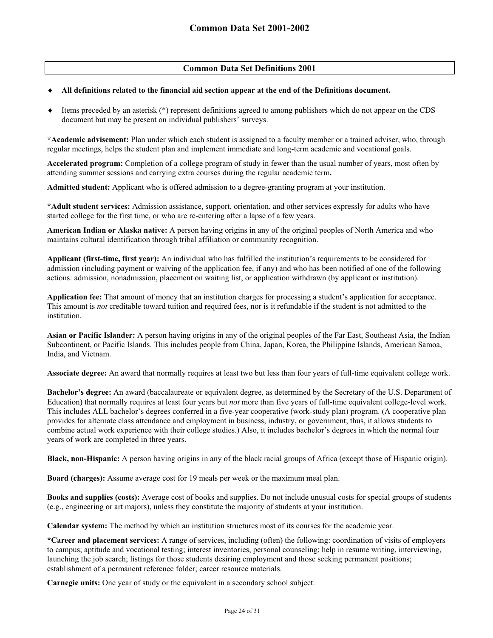#### **Common Data Set Definitions 2001**

#### $\ddot{\bullet}$ **All definitions related to the financial aid section appear at the end of the Definitions document.**

 $\ddot{\bullet}$  Items preceded by an asterisk (\*) represent definitions agreed to among publishers which do not appear on the CDS document but may be present on individual publishers' surveys.

**\*Academic advisement:** Plan under which each student is assigned to a faculty member or a trained adviser, who, through regular meetings, helps the student plan and implement immediate and long-term academic and vocational goals.

**Accelerated program:** Completion of a college program of study in fewer than the usual number of years, most often by attending summer sessions and carrying extra courses during the regular academic term**.** 

**Admitted student:** Applicant who is offered admission to a degree-granting program at your institution.

**\*Adult student services:** Admission assistance, support, orientation, and other services expressly for adults who have started college for the first time, or who are re-entering after a lapse of a few years.

**American Indian or Alaska native:** A person having origins in any of the original peoples of North America and who maintains cultural identification through tribal affiliation or community recognition.

**Applicant (first-time, first year):** An individual who has fulfilled the institution's requirements to be considered for admission (including payment or waiving of the application fee, if any) and who has been notified of one of the following actions: admission, nonadmission, placement on waiting list, or application withdrawn (by applicant or institution).

**Application fee:** That amount of money that an institution charges for processing a student's application for acceptance. This amount is *not* creditable toward tuition and required fees, nor is it refundable if the student is not admitted to the institution.

**Asian or Pacific Islander:** A person having origins in any of the original peoples of the Far East, Southeast Asia, the Indian Subcontinent, or Pacific Islands. This includes people from China, Japan, Korea, the Philippine Islands, American Samoa, India, and Vietnam.

**Associate degree:** An award that normally requires at least two but less than four years of full-time equivalent college work.

**Bachelor's degree:** An award (baccalaureate or equivalent degree, as determined by the Secretary of the U.S. Department of Education) that normally requires at least four years but *not* more than five years of full-time equivalent college-level work. This includes ALL bachelor's degrees conferred in a five-year cooperative (work-study plan) program. (A cooperative plan provides for alternate class attendance and employment in business, industry, or government; thus, it allows students to combine actual work experience with their college studies.) Also, it includes bachelor's degrees in which the normal four years of work are completed in three years.

**Black, non-Hispanic:** A person having origins in any of the black racial groups of Africa (except those of Hispanic origin).

**Board (charges):** Assume average cost for 19 meals per week or the maximum meal plan.

**Books and supplies (costs):** Average cost of books and supplies. Do not include unusual costs for special groups of students (e.g., engineering or art majors), unless they constitute the majority of students at your institution.

**Calendar system:** The method by which an institution structures most of its courses for the academic year.

**\*Career and placement services:** A range of services, including (often) the following: coordination of visits of employers to campus; aptitude and vocational testing; interest inventories, personal counseling; help in resume writing, interviewing, launching the job search; listings for those students desiring employment and those seeking permanent positions; establishment of a permanent reference folder; career resource materials.

**Carnegie units:** One year of study or the equivalent in a secondary school subject.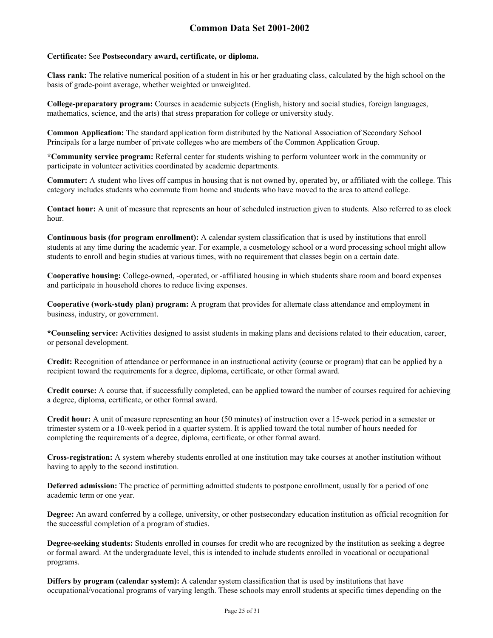#### **Certificate:** See **Postsecondary award, certificate, or diploma.**

**Class rank:** The relative numerical position of a student in his or her graduating class, calculated by the high school on the basis of grade-point average, whether weighted or unweighted.

**College-preparatory program:** Courses in academic subjects (English, history and social studies, foreign languages, mathematics, science, and the arts) that stress preparation for college or university study.

**Common Application:** The standard application form distributed by the National Association of Secondary School Principals for a large number of private colleges who are members of the Common Application Group.

**\*Community service program:** Referral center for students wishing to perform volunteer work in the community or participate in volunteer activities coordinated by academic departments.

**Commuter:** A student who lives off campus in housing that is not owned by, operated by, or affiliated with the college. This category includes students who commute from home and students who have moved to the area to attend college.

**Contact hour:** A unit of measure that represents an hour of scheduled instruction given to students. Also referred to as clock hour.

**Continuous basis (for program enrollment):** A calendar system classification that is used by institutions that enroll students at any time during the academic year. For example, a cosmetology school or a word processing school might allow students to enroll and begin studies at various times, with no requirement that classes begin on a certain date.

**Cooperative housing:** College-owned, -operated, or -affiliated housing in which students share room and board expenses and participate in household chores to reduce living expenses.

**Cooperative (work-study plan) program:** A program that provides for alternate class attendance and employment in business, industry, or government.

**\*Counseling service:** Activities designed to assist students in making plans and decisions related to their education, career, or personal development.

**Credit:** Recognition of attendance or performance in an instructional activity (course or program) that can be applied by a recipient toward the requirements for a degree, diploma, certificate, or other formal award.

**Credit course:** A course that, if successfully completed, can be applied toward the number of courses required for achieving a degree, diploma, certificate, or other formal award.

**Credit hour:** A unit of measure representing an hour (50 minutes) of instruction over a 15-week period in a semester or trimester system or a 10-week period in a quarter system. It is applied toward the total number of hours needed for completing the requirements of a degree, diploma, certificate, or other formal award.

**Cross-registration:** A system whereby students enrolled at one institution may take courses at another institution without having to apply to the second institution.

**Deferred admission:** The practice of permitting admitted students to postpone enrollment, usually for a period of one academic term or one year.

**Degree:** An award conferred by a college, university, or other postsecondary education institution as official recognition for the successful completion of a program of studies.

**Degree-seeking students:** Students enrolled in courses for credit who are recognized by the institution as seeking a degree or formal award. At the undergraduate level, this is intended to include students enrolled in vocational or occupational programs.

**Differs by program (calendar system):** A calendar system classification that is used by institutions that have occupational/vocational programs of varying length. These schools may enroll students at specific times depending on the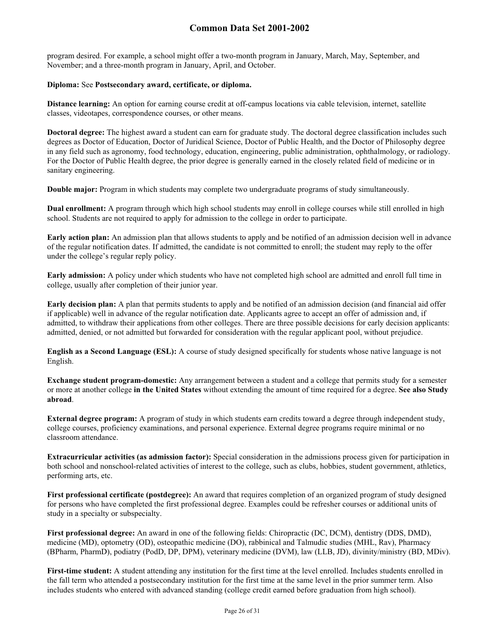program desired. For example, a school might offer a two-month program in January, March, May, September, and November; and a three-month program in January, April, and October.

#### **Diploma:** See **Postsecondary award, certificate, or diploma.**

**Distance learning:** An option for earning course credit at off-campus locations via cable television, internet, satellite classes, videotapes, correspondence courses, or other means.

**Doctoral degree:** The highest award a student can earn for graduate study. The doctoral degree classification includes such degrees as Doctor of Education, Doctor of Juridical Science, Doctor of Public Health, and the Doctor of Philosophy degree in any field such as agronomy, food technology, education, engineering, public administration, ophthalmology, or radiology. For the Doctor of Public Health degree, the prior degree is generally earned in the closely related field of medicine or in sanitary engineering.

**Double major:** Program in which students may complete two undergraduate programs of study simultaneously.

**Dual enrollment:** A program through which high school students may enroll in college courses while still enrolled in high school. Students are not required to apply for admission to the college in order to participate.

**Early action plan:** An admission plan that allows students to apply and be notified of an admission decision well in advance of the regular notification dates. If admitted, the candidate is not committed to enroll; the student may reply to the offer under the college's regular reply policy.

**Early admission:** A policy under which students who have not completed high school are admitted and enroll full time in college, usually after completion of their junior year.

**Early decision plan:** A plan that permits students to apply and be notified of an admission decision (and financial aid offer if applicable) well in advance of the regular notification date. Applicants agree to accept an offer of admission and, if admitted, to withdraw their applications from other colleges. There are three possible decisions for early decision applicants: admitted, denied, or not admitted but forwarded for consideration with the regular applicant pool, without prejudice.

**English as a Second Language (ESL):** A course of study designed specifically for students whose native language is not English.

**Exchange student program-domestic:** Any arrangement between a student and a college that permits study for a semester or more at another college **in the United States** without extending the amount of time required for a degree. **See also Study abroad**.

**External degree program:** A program of study in which students earn credits toward a degree through independent study, college courses, proficiency examinations, and personal experience. External degree programs require minimal or no classroom attendance.

**Extracurricular activities (as admission factor):** Special consideration in the admissions process given for participation in both school and nonschool-related activities of interest to the college, such as clubs, hobbies, student government, athletics, performing arts, etc.

**First professional certificate (postdegree):** An award that requires completion of an organized program of study designed for persons who have completed the first professional degree. Examples could be refresher courses or additional units of study in a specialty or subspecialty.

**First professional degree:** An award in one of the following fields: Chiropractic (DC, DCM), dentistry (DDS, DMD), medicine (MD), optometry (OD), osteopathic medicine (DO), rabbinical and Talmudic studies (MHL, Rav), Pharmacy (BPharm, PharmD), podiatry (PodD, DP, DPM), veterinary medicine (DVM), law (LLB, JD), divinity/ministry (BD, MDiv).

First-time student: A student attending any institution for the first time at the level enrolled. Includes students enrolled in the fall term who attended a postsecondary institution for the first time at the same level in the prior summer term. Also includes students who entered with advanced standing (college credit earned before graduation from high school).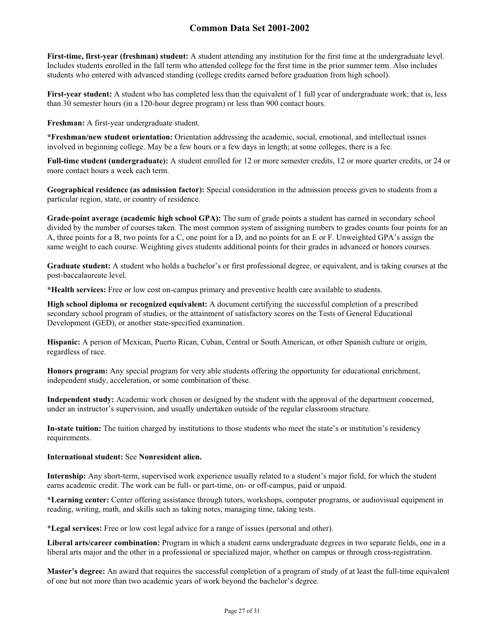**First-time, first-year (freshman) student:** A student attending any institution for the first time at the undergraduate level. Includes students enrolled in the fall term who attended college for the first time in the prior summer term. Also includes students who entered with advanced standing (college credits earned before graduation from high school).

**First-year student:** A student who has completed less than the equivalent of 1 full year of undergraduate work; that is, less than 30 semester hours (in a 120-hour degree program) or less than 900 contact hours.

**Freshman:** A first-year undergraduate student.

**\*Freshman/new student orientation:** Orientation addressing the academic, social, emotional, and intellectual issues involved in beginning college. May be a few hours or a few days in length; at some colleges, there is a fee.

**Full-time student (undergraduate):** A student enrolled for 12 or more semester credits, 12 or more quarter credits, or 24 or more contact hours a week each term.

**Geographical residence (as admission factor):** Special consideration in the admission process given to students from a particular region, state, or country of residence.

**Grade-point average (academic high school GPA):** The sum of grade points a student has earned in secondary school divided by the number of courses taken. The most common system of assigning numbers to grades counts four points for an A, three points for a B, two points for a C, one point for a D, and no points for an E or F. Unweighted GPA's assign the same weight to each course. Weighting gives students additional points for their grades in advanced or honors courses.

**Graduate student:** A student who holds a bachelor's or first professional degree, or equivalent, and is taking courses at the post-baccalaureate level.

**\*Health services:** Free or low cost on-campus primary and preventive health care available to students.

**High school diploma or recognized equivalent:** A document certifying the successful completion of a prescribed secondary school program of studies, or the attainment of satisfactory scores on the Tests of General Educational Development (GED), or another state-specified examination.

**Hispanic:** A person of Mexican, Puerto Rican, Cuban, Central or South American, or other Spanish culture or origin, regardless of race.

**Honors program:** Any special program for very able students offering the opportunity for educational enrichment, independent study, acceleration, or some combination of these.

**Independent study:** Academic work chosen or designed by the student with the approval of the department concerned, under an instructor's supervision, and usually undertaken outside of the regular classroom structure.

**In-state tuition:** The tuition charged by institutions to those students who meet the state's or institution's residency requirements.

#### **International student:** See **Nonresident alien.**

**Internship:** Any short-term, supervised work experience usually related to a student's major field, for which the student earns academic credit. The work can be full- or part-time, on- or off-campus, paid or unpaid.

**\*Learning center:** Center offering assistance through tutors, workshops, computer programs, or audiovisual equipment in reading, writing, math, and skills such as taking notes, managing time, taking tests.

**\*Legal services:** Free or low cost legal advice for a range of issues (personal and other).

**Liberal arts/career combination:** Program in which a student earns undergraduate degrees in two separate fields, one in a liberal arts major and the other in a professional or specialized major, whether on campus or through cross-registration.

**Master's degree:** An award that requires the successful completion of a program of study of at least the full-time equivalent of one but not more than two academic years of work beyond the bachelor's degree.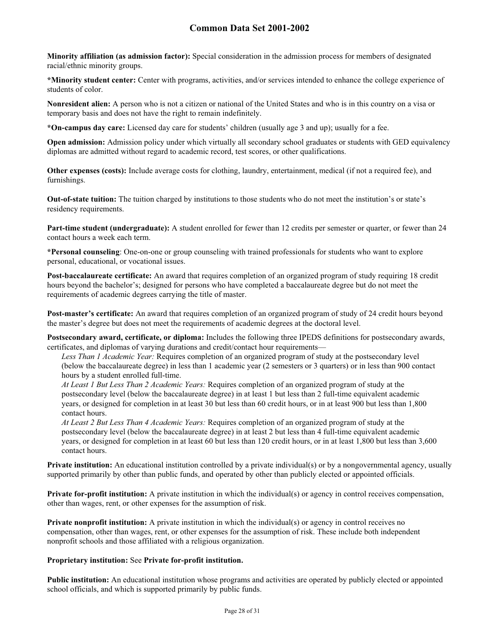**Minority affiliation (as admission factor):** Special consideration in the admission process for members of designated racial/ethnic minority groups.

**\*Minority student center:** Center with programs, activities, and/or services intended to enhance the college experience of students of color.

**Nonresident alien:** A person who is not a citizen or national of the United States and who is in this country on a visa or temporary basis and does not have the right to remain indefinitely.

**\*On-campus day care:** Licensed day care for students' children (usually age 3 and up); usually for a fee.

**Open admission:** Admission policy under which virtually all secondary school graduates or students with GED equivalency diplomas are admitted without regard to academic record, test scores, or other qualifications.

**Other expenses (costs):** Include average costs for clothing, laundry, entertainment, medical (if not a required fee), and furnishings.

**Out-of-state tuition:** The tuition charged by institutions to those students who do not meet the institution's or state's residency requirements.

**Part-time student (undergraduate):** A student enrolled for fewer than 12 credits per semester or quarter, or fewer than 24 contact hours a week each term.

**\*Personal counseling**: One-on-one or group counseling with trained professionals for students who want to explore personal, educational, or vocational issues.

**Post-baccalaureate certificate:** An award that requires completion of an organized program of study requiring 18 credit hours beyond the bachelor's; designed for persons who have completed a baccalaureate degree but do not meet the requirements of academic degrees carrying the title of master.

**Post-master's certificate:** An award that requires completion of an organized program of study of 24 credit hours beyond the master's degree but does not meet the requirements of academic degrees at the doctoral level.

**Postsecondary award, certificate, or diploma:** Includes the following three IPEDS definitions for postsecondary awards, certificates, and diplomas of varying durations and credit/contact hour requirements—

*Less Than 1 Academic Year:* Requires completion of an organized program of study at the postsecondary level (below the baccalaureate degree) in less than 1 academic year (2 semesters or 3 quarters) or in less than 900 contact hours by a student enrolled full-time.

*At Least 1 But Less Than 2 Academic Years:* Requires completion of an organized program of study at the postsecondary level (below the baccalaureate degree) in at least 1 but less than 2 full-time equivalent academic years, or designed for completion in at least 30 but less than 60 credit hours, or in at least 900 but less than 1,800 contact hours.

*At Least 2 But Less Than 4 Academic Years:* Requires completion of an organized program of study at the postsecondary level (below the baccalaureate degree) in at least 2 but less than 4 full-time equivalent academic years, or designed for completion in at least 60 but less than 120 credit hours, or in at least 1,800 but less than 3,600 contact hours.

**Private institution:** An educational institution controlled by a private individual(s) or by a nongovernmental agency, usually supported primarily by other than public funds, and operated by other than publicly elected or appointed officials.

**Private for-profit institution:** A private institution in which the individual(s) or agency in control receives compensation, other than wages, rent, or other expenses for the assumption of risk.

**Private nonprofit institution:** A private institution in which the individual(s) or agency in control receives no compensation, other than wages, rent, or other expenses for the assumption of risk. These include both independent nonprofit schools and those affiliated with a religious organization.

#### **Proprietary institution:** See **Private for-profit institution.**

**Public institution:** An educational institution whose programs and activities are operated by publicly elected or appointed school officials, and which is supported primarily by public funds.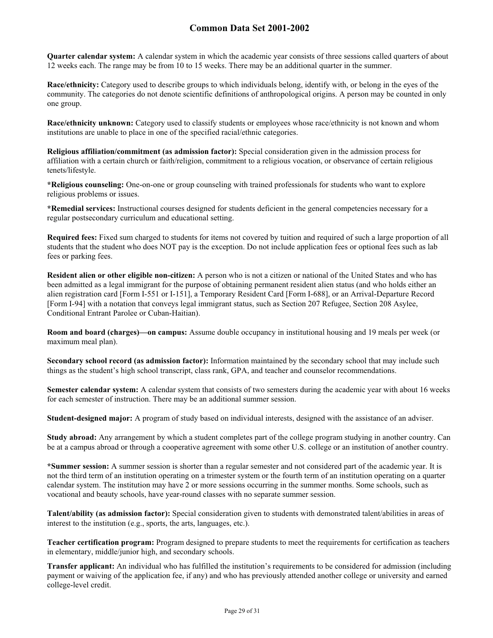**Quarter calendar system:** A calendar system in which the academic year consists of three sessions called quarters of about 12 weeks each. The range may be from 10 to 15 weeks. There may be an additional quarter in the summer.

**Race/ethnicity:** Category used to describe groups to which individuals belong, identify with, or belong in the eyes of the community. The categories do not denote scientific definitions of anthropological origins. A person may be counted in only one group.

**Race/ethnicity unknown:** Category used to classify students or employees whose race/ethnicity is not known and whom institutions are unable to place in one of the specified racial/ethnic categories.

**Religious affiliation/commitment (as admission factor):** Special consideration given in the admission process for affiliation with a certain church or faith/religion, commitment to a religious vocation, or observance of certain religious tenets/lifestyle.

**\*Religious counseling:** One-on-one or group counseling with trained professionals for students who want to explore religious problems or issues.

**\*Remedial services:** Instructional courses designed for students deficient in the general competencies necessary for a regular postsecondary curriculum and educational setting.

**Required fees:** Fixed sum charged to students for items not covered by tuition and required of such a large proportion of all students that the student who does NOT pay is the exception. Do not include application fees or optional fees such as lab fees or parking fees.

**Resident alien or other eligible non-citizen:** A person who is not a citizen or national of the United States and who has been admitted as a legal immigrant for the purpose of obtaining permanent resident alien status (and who holds either an alien registration card [Form I-551 or I-151], a Temporary Resident Card [Form I-688], or an Arrival-Departure Record [Form I-94] with a notation that conveys legal immigrant status, such as Section 207 Refugee, Section 208 Asylee, Conditional Entrant Parolee or Cuban-Haitian).

**Room and board (charges)—on campus:** Assume double occupancy in institutional housing and 19 meals per week (or maximum meal plan).

**Secondary school record (as admission factor):** Information maintained by the secondary school that may include such things as the student's high school transcript, class rank, GPA, and teacher and counselor recommendations.

**Semester calendar system:** A calendar system that consists of two semesters during the academic year with about 16 weeks for each semester of instruction. There may be an additional summer session.

**Student-designed major:** A program of study based on individual interests, designed with the assistance of an adviser.

**Study abroad:** Any arrangement by which a student completes part of the college program studying in another country. Can be at a campus abroad or through a cooperative agreement with some other U.S. college or an institution of another country.

**\*Summer session:** A summer session is shorter than a regular semester and not considered part of the academic year. It is not the third term of an institution operating on a trimester system or the fourth term of an institution operating on a quarter calendar system. The institution may have 2 or more sessions occurring in the summer months. Some schools, such as vocational and beauty schools, have year-round classes with no separate summer session.

**Talent/ability (as admission factor):** Special consideration given to students with demonstrated talent/abilities in areas of interest to the institution (e.g., sports, the arts, languages, etc.).

**Teacher certification program:** Program designed to prepare students to meet the requirements for certification as teachers in elementary, middle/junior high, and secondary schools.

**Transfer applicant:** An individual who has fulfilled the institution's requirements to be considered for admission (including payment or waiving of the application fee, if any) and who has previously attended another college or university and earned college-level credit.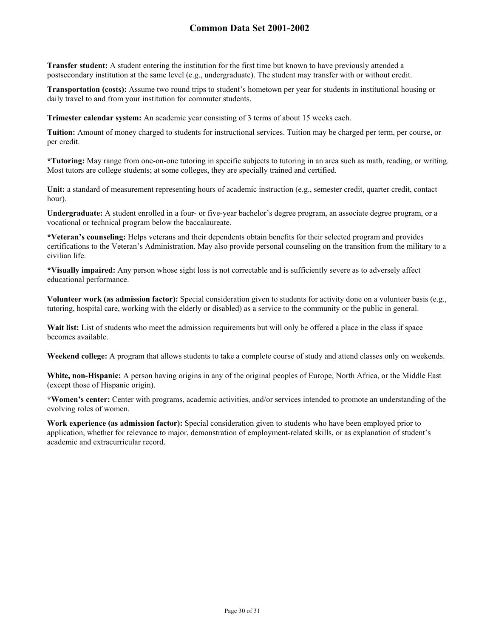**Transfer student:** A student entering the institution for the first time but known to have previously attended a postsecondary institution at the same level (e.g., undergraduate). The student may transfer with or without credit.

**Transportation (costs):** Assume two round trips to student's hometown per year for students in institutional housing or daily travel to and from your institution for commuter students.

**Trimester calendar system:** An academic year consisting of 3 terms of about 15 weeks each.

**Tuition:** Amount of money charged to students for instructional services. Tuition may be charged per term, per course, or per credit.

**\*Tutoring:** May range from one-on-one tutoring in specific subjects to tutoring in an area such as math, reading, or writing. Most tutors are college students; at some colleges, they are specially trained and certified.

Unit: a standard of measurement representing hours of academic instruction (e.g., semester credit, quarter credit, contact hour).

**Undergraduate:** A student enrolled in a four- or five-year bachelor's degree program, an associate degree program, or a vocational or technical program below the baccalaureate.

**\*Veteran's counseling:** Helps veterans and their dependents obtain benefits for their selected program and provides certifications to the Veteran's Administration. May also provide personal counseling on the transition from the military to a civilian life.

**\*Visually impaired:** Any person whose sight loss is not correctable and is sufficiently severe as to adversely affect educational performance.

**Volunteer work (as admission factor):** Special consideration given to students for activity done on a volunteer basis (e.g., tutoring, hospital care, working with the elderly or disabled) as a service to the community or the public in general.

Wait list: List of students who meet the admission requirements but will only be offered a place in the class if space becomes available.

**Weekend college:** A program that allows students to take a complete course of study and attend classes only on weekends.

**White, non-Hispanic:** A person having origins in any of the original peoples of Europe, North Africa, or the Middle East (except those of Hispanic origin).

**\*Women's center:** Center with programs, academic activities, and/or services intended to promote an understanding of the evolving roles of women.

**Work experience (as admission factor):** Special consideration given to students who have been employed prior to application, whether for relevance to major, demonstration of employment-related skills, or as explanation of student's academic and extracurricular record.